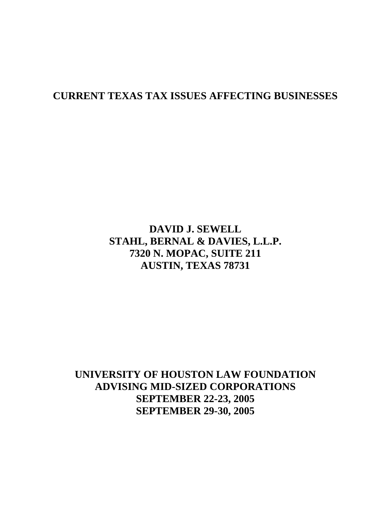# **CURRENT TEXAS TAX ISSUES AFFECTING BUSINESSES**

# **DAVID J. SEWELL STAHL, BERNAL & DAVIES, L.L.P. 7320 N. MOPAC, SUITE 211 AUSTIN, TEXAS 78731**

**UNIVERSITY OF HOUSTON LAW FOUNDATION ADVISING MID-SIZED CORPORATIONS SEPTEMBER 22-23, 2005 SEPTEMBER 29-30, 2005**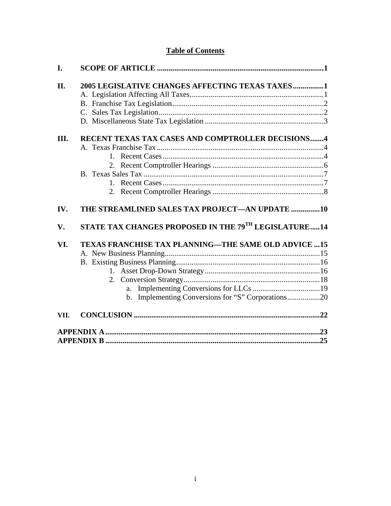## **Table of Contents**

| I.   |                                                            |  |
|------|------------------------------------------------------------|--|
| II.  | 2005 LEGISLATIVE CHANGES AFFECTING TEXAS TAXES1            |  |
|      |                                                            |  |
|      |                                                            |  |
|      |                                                            |  |
|      |                                                            |  |
| Ш.   | RECENT TEXAS TAX CASES AND COMPTROLLER DECISIONS4          |  |
|      |                                                            |  |
|      |                                                            |  |
|      |                                                            |  |
|      |                                                            |  |
|      |                                                            |  |
|      |                                                            |  |
|      |                                                            |  |
| IV.  | THE STREAMLINED SALES TAX PROJECT—AN UPDATE 10             |  |
| V.   | STATE TAX CHANGES PROPOSED IN THE 79TH LEGISLATURE14       |  |
| VI.  | <b>TEXAS FRANCHISE TAX PLANNING—THE SAME OLD ADVICE 15</b> |  |
|      |                                                            |  |
|      |                                                            |  |
|      |                                                            |  |
|      |                                                            |  |
|      | a.                                                         |  |
|      | b. Implementing Conversions for "S" Corporations20         |  |
| VII. |                                                            |  |
|      |                                                            |  |
|      |                                                            |  |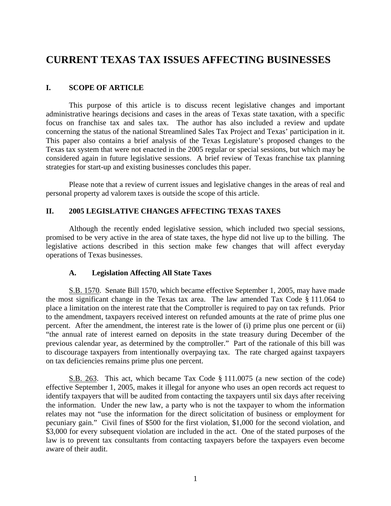# **CURRENT TEXAS TAX ISSUES AFFECTING BUSINESSES**

### **I. SCOPE OF ARTICLE**

This purpose of this article is to discuss recent legislative changes and important administrative hearings decisions and cases in the areas of Texas state taxation, with a specific focus on franchise tax and sales tax. The author has also included a review and update concerning the status of the national Streamlined Sales Tax Project and Texas' participation in it. This paper also contains a brief analysis of the Texas Legislature's proposed changes to the Texas tax system that were not enacted in the 2005 regular or special sessions, but which may be considered again in future legislative sessions. A brief review of Texas franchise tax planning strategies for start-up and existing businesses concludes this paper.

Please note that a review of current issues and legislative changes in the areas of real and personal property ad valorem taxes is outside the scope of this article.

### **II. 2005 LEGISLATIVE CHANGES AFFECTING TEXAS TAXES**

Although the recently ended legislative session, which included two special sessions, promised to be very active in the area of state taxes, the hype did not live up to the billing. The legislative actions described in this section make few changes that will affect everyday operations of Texas businesses.

### **A. Legislation Affecting All State Taxes**

S.B. 1570. Senate Bill 1570, which became effective September 1, 2005, may have made the most significant change in the Texas tax area. The law amended Tax Code § 111.064 to place a limitation on the interest rate that the Comptroller is required to pay on tax refunds. Prior to the amendment, taxpayers received interest on refunded amounts at the rate of prime plus one percent. After the amendment, the interest rate is the lower of (i) prime plus one percent or (ii) "the annual rate of interest earned on deposits in the state treasury during December of the previous calendar year, as determined by the comptroller." Part of the rationale of this bill was to discourage taxpayers from intentionally overpaying tax. The rate charged against taxpayers on tax deficiencies remains prime plus one percent.

 S.B. 263. This act, which became Tax Code § 111.0075 (a new section of the code) effective September 1, 2005, makes it illegal for anyone who uses an open records act request to identify taxpayers that will be audited from contacting the taxpayers until six days after receiving the information. Under the new law, a party who is not the taxpayer to whom the information relates may not "use the information for the direct solicitation of business or employment for pecuniary gain." Civil fines of \$500 for the first violation, \$1,000 for the second violation, and \$3,000 for every subsequent violation are included in the act. One of the stated purposes of the law is to prevent tax consultants from contacting taxpayers before the taxpayers even become aware of their audit.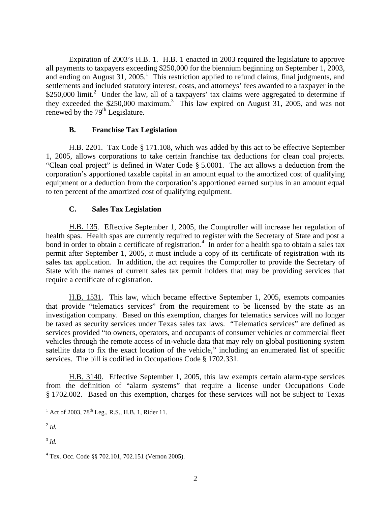Expiration of 2003's H.B. 1. H.B. 1 enacted in 2003 required the legislature to approve all payments to taxpayers exceeding \$250,000 for the biennium beginning on September 1, 2003, and ending on August 31,  $2005<sup>1</sup>$ . This restriction applied to refund claims, final judgments, and settlements and included statutory interest, costs, and attorneys' fees awarded to a taxpayer in the  $$250,000$ limit.<sup>2</sup> Under the law, all of a taxpayers' tax claims were aggregated to determine if they exceeded the \$250,000 maximum. [3](#page-3-2) This law expired on August 31, 2005, and was not renewed by the  $79<sup>th</sup>$  Legislature.

### **B. Franchise Tax Legislation**

H.B. 2201. Tax Code § 171.108, which was added by this act to be effective September 1, 2005, allows corporations to take certain franchise tax deductions for clean coal projects. "Clean coal project" is defined in Water Code § 5.0001. The act allows a deduction from the corporation's apportioned taxable capital in an amount equal to the amortized cost of qualifying equipment or a deduction from the corporation's apportioned earned surplus in an amount equal to ten percent of the amortized cost of qualifying equipment.

### **C. Sales Tax Legislation**

 H.B. 135. Effective September 1, 2005, the Comptroller will increase her regulation of health spas. Health spas are currently required to register with the Secretary of State and post a bond in order to obtain a certificate of registration.<sup>4</sup> In order for a health spa to obtain a sales tax permit after September 1, 2005, it must include a copy of its certificate of registration with its sales tax application. In addition, the act requires the Comptroller to provide the Secretary of State with the names of current sales tax permit holders that may be providing services that require a certificate of registration.

 H.B. 1531. This law, which became effective September 1, 2005, exempts companies that provide "telematics services" from the requirement to be licensed by the state as an investigation company. Based on this exemption, charges for telematics services will no longer be taxed as security services under Texas sales tax laws. "Telematics services" are defined as services provided "to owners, operators, and occupants of consumer vehicles or commercial fleet vehicles through the remote access of in-vehicle data that may rely on global positioning system satellite data to fix the exact location of the vehicle," including an enumerated list of specific services. The bill is codified in Occupations Code § 1702.331.

H.B. 3140. Effective September 1, 2005, this law exempts certain alarm-type services from the definition of "alarm systems" that require a license under Occupations Code § 1702.002. Based on this exemption, charges for these services will not be subject to Texas

<span id="page-3-2"></span><sup>3</sup> *Id.*

<span id="page-3-0"></span> $\frac{1}{1}$ <sup>1</sup> Act of 2003, 78<sup>th</sup> Leg., R.S., H.B. 1, Rider 11.

<span id="page-3-1"></span> $^{2}$  *Id.* 

<span id="page-3-3"></span><sup>4</sup> Tex. Occ. Code §§ 702.101, 702.151 (Vernon 2005).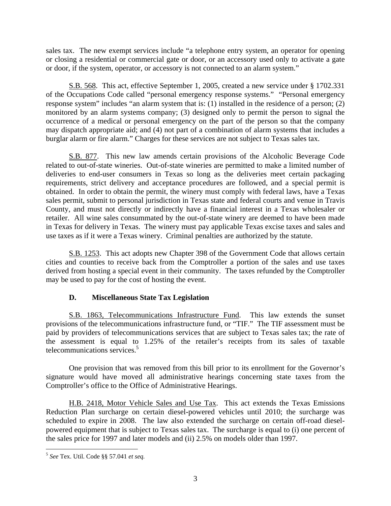sales tax. The new exempt services include "a telephone entry system, an operator for opening or closing a residential or commercial gate or door, or an accessory used only to activate a gate or door, if the system, operator, or accessory is not connected to an alarm system."

 S.B. 568. This act, effective September 1, 2005, created a new service under § 1702.331 of the Occupations Code called "personal emergency response systems." "Personal emergency response system" includes "an alarm system that is: (1) installed in the residence of a person; (2) monitored by an alarm systems company; (3) designed only to permit the person to signal the occurrence of a medical or personal emergency on the part of the person so that the company may dispatch appropriate aid; and (4) not part of a combination of alarm systems that includes a burglar alarm or fire alarm." Charges for these services are not subject to Texas sales tax.

 S.B. 877. This new law amends certain provisions of the Alcoholic Beverage Code related to out-of-state wineries. Out-of-state wineries are permitted to make a limited number of deliveries to end-user consumers in Texas so long as the deliveries meet certain packaging requirements, strict delivery and acceptance procedures are followed, and a special permit is obtained. In order to obtain the permit, the winery must comply with federal laws, have a Texas sales permit, submit to personal jurisdiction in Texas state and federal courts and venue in Travis County, and must not directly or indirectly have a financial interest in a Texas wholesaler or retailer. All wine sales consummated by the out-of-state winery are deemed to have been made in Texas for delivery in Texas. The winery must pay applicable Texas excise taxes and sales and use taxes as if it were a Texas winery. Criminal penalties are authorized by the statute.

 S.B. 1253. This act adopts new Chapter 398 of the Government Code that allows certain cities and counties to receive back from the Comptroller a portion of the sales and use taxes derived from hosting a special event in their community. The taxes refunded by the Comptroller may be used to pay for the cost of hosting the event.

### **D. Miscellaneous State Tax Legislation**

S.B. 1863, Telecommunications Infrastructure Fund. This law extends the sunset provisions of the telecommunications infrastructure fund, or "TIF." The TIF assessment must be paid by providers of telecommunications services that are subject to Texas sales tax; the rate of the assessment is equal to 1.25% of the retailer's receipts from its sales of taxable telecommunications services.<sup>5</sup>

One provision that was removed from this bill prior to its enrollment for the Governor's signature would have moved all administrative hearings concerning state taxes from the Comptroller's office to the Office of Administrative Hearings.

H.B. 2418, Motor Vehicle Sales and Use Tax. This act extends the Texas Emissions Reduction Plan surcharge on certain diesel-powered vehicles until 2010; the surcharge was scheduled to expire in 2008. The law also extended the surcharge on certain off-road dieselpowered equipment that is subject to Texas sales tax. The surcharge is equal to (i) one percent of the sales price for 1997 and later models and (ii) 2.5% on models older than 1997.

<span id="page-4-0"></span> <sup>5</sup> *See* Tex. Util. Code §§ 57.041 *et seq.*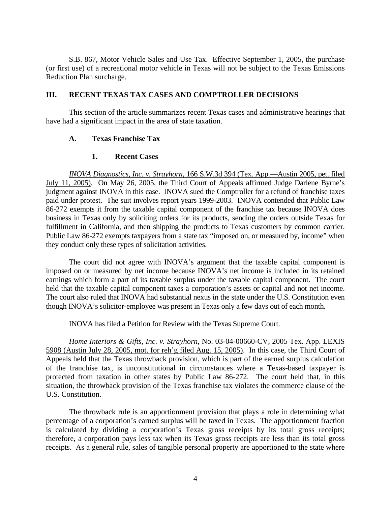S.B. 867, Motor Vehicle Sales and Use Tax. Effective September 1, 2005, the purchase (or first use) of a recreational motor vehicle in Texas will not be subject to the Texas Emissions Reduction Plan surcharge.

### **III. RECENT TEXAS TAX CASES AND COMPTROLLER DECISIONS**

This section of the article summarizes recent Texas cases and administrative hearings that have had a significant impact in the area of state taxation.

### **A. Texas Franchise Tax**

### **1. Recent Cases**

*INOVA Diagnostics, Inc. v. Strayhorn*, 166 S.W.3d 394 (Tex. App.—Austin 2005, pet. filed July 11, 2005). On May 26, 2005, the Third Court of Appeals affirmed Judge Darlene Byrne's judgment against INOVA in this case. INOVA sued the Comptroller for a refund of franchise taxes paid under protest. The suit involves report years 1999-2003. INOVA contended that Public Law 86-272 exempts it from the taxable capital component of the franchise tax because INOVA does business in Texas only by soliciting orders for its products, sending the orders outside Texas for fulfillment in California, and then shipping the products to Texas customers by common carrier. Public Law 86-272 exempts taxpayers from a state tax "imposed on, or measured by, income" when they conduct only these types of solicitation activities.

The court did not agree with INOVA's argument that the taxable capital component is imposed on or measured by net income because INOVA's net income is included in its retained earnings which form a part of its taxable surplus under the taxable capital component. The court held that the taxable capital component taxes a corporation's assets or capital and not net income. The court also ruled that INOVA had substantial nexus in the state under the U.S. Constitution even though INOVA's solicitor-employee was present in Texas only a few days out of each month.

INOVA has filed a Petition for Review with the Texas Supreme Court.

*Home Interiors & Gifts, Inc. v. Strayhorn*, No. 03-04-00660-CV, 2005 Tex. App. LEXIS 5908 (Austin July 28, 2005, mot. for reh'g filed Aug. 15, 2005). In this case, the Third Court of Appeals held that the Texas throwback provision, which is part of the earned surplus calculation of the franchise tax, is unconstitutional in circumstances where a Texas-based taxpayer is protected from taxation in other states by Public Law 86-272. The court held that, in this situation, the throwback provision of the Texas franchise tax violates the commerce clause of the U.S. Constitution.

The throwback rule is an apportionment provision that plays a role in determining what percentage of a corporation's earned surplus will be taxed in Texas. The apportionment fraction is calculated by dividing a corporation's Texas gross receipts by its total gross receipts; therefore, a corporation pays less tax when its Texas gross receipts are less than its total gross receipts. As a general rule, sales of tangible personal property are apportioned to the state where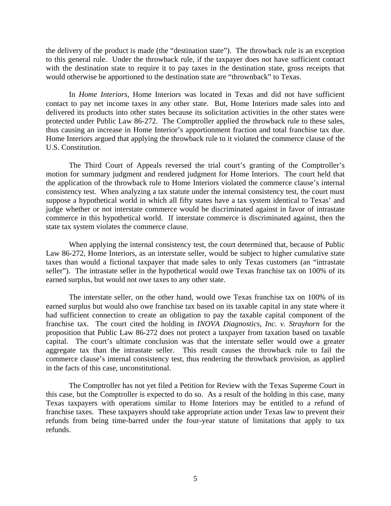the delivery of the product is made (the "destination state"). The throwback rule is an exception to this general rule. Under the throwback rule, if the taxpayer does not have sufficient contact with the destination state to require it to pay taxes in the destination state, gross receipts that would otherwise be apportioned to the destination state are "thrownback" to Texas.

In *Home Interiors*, Home Interiors was located in Texas and did not have sufficient contact to pay net income taxes in any other state. But, Home Interiors made sales into and delivered its products into other states because its solicitation activities in the other states were protected under Public Law 86-272. The Comptroller applied the throwback rule to these sales, thus causing an increase in Home Interior's apportionment fraction and total franchise tax due. Home Interiors argued that applying the throwback rule to it violated the commerce clause of the U.S. Constitution.

The Third Court of Appeals reversed the trial court's granting of the Comptroller's motion for summary judgment and rendered judgment for Home Interiors. The court held that the application of the throwback rule to Home Interiors violated the commerce clause's internal consistency test. When analyzing a tax statute under the internal consistency test, the court must suppose a hypothetical world in which all fifty states have a tax system identical to Texas' and judge whether or not interstate commerce would be discriminated against in favor of intrastate commerce in this hypothetical world. If interstate commerce is discriminated against, then the state tax system violates the commerce clause.

When applying the internal consistency test, the court determined that, because of Public Law 86-272, Home Interiors, as an interstate seller, would be subject to higher cumulative state taxes than would a fictional taxpayer that made sales to only Texas customers (an "intrastate seller"). The intrastate seller in the hypothetical would owe Texas franchise tax on 100% of its earned surplus, but would not owe taxes to any other state.

The interstate seller, on the other hand, would owe Texas franchise tax on 100% of its earned surplus but would also owe franchise tax based on its taxable capital in any state where it had sufficient connection to create an obligation to pay the taxable capital component of the franchise tax. The court cited the holding in *INOVA Diagnostics, Inc. v. Strayhorn* for the proposition that Public Law 86-272 does not protect a taxpayer from taxation based on taxable capital. The court's ultimate conclusion was that the interstate seller would owe a greater aggregate tax than the intrastate seller. This result causes the throwback rule to fail the commerce clause's internal consistency test, thus rendering the throwback provision, as applied in the facts of this case, unconstitutional.

The Comptroller has not yet filed a Petition for Review with the Texas Supreme Court in this case, but the Comptroller is expected to do so. As a result of the holding in this case, many Texas taxpayers with operations similar to Home Interiors may be entitled to a refund of franchise taxes. These taxpayers should take appropriate action under Texas law to prevent their refunds from being time-barred under the four-year statute of limitations that apply to tax refunds.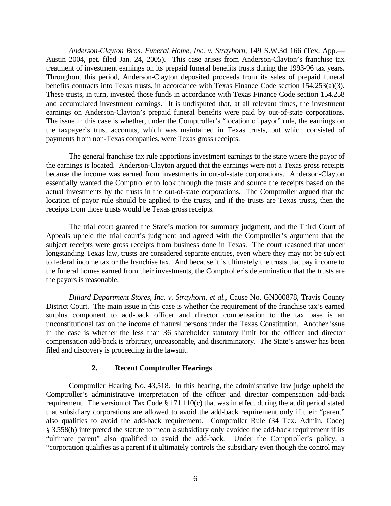*Anderson-Clayton Bros. Funeral Home, Inc. v. Strayhorn*, 149 S.W.3d 166 (Tex. App.— Austin 2004, pet. filed Jan. 24, 2005). This case arises from Anderson-Clayton's franchise tax treatment of investment earnings on its prepaid funeral benefits trusts during the 1993-96 tax years. Throughout this period, Anderson-Clayton deposited proceeds from its sales of prepaid funeral benefits contracts into Texas trusts, in accordance with Texas Finance Code section 154.253(a)(3). These trusts, in turn, invested those funds in accordance with Texas Finance Code section 154.258 and accumulated investment earnings. It is undisputed that, at all relevant times, the investment earnings on Anderson-Clayton's prepaid funeral benefits were paid by out-of-state corporations. The issue in this case is whether, under the Comptroller's "location of payor" rule, the earnings on the taxpayer's trust accounts, which was maintained in Texas trusts, but which consisted of payments from non-Texas companies, were Texas gross receipts.

The general franchise tax rule apportions investment earnings to the state where the payor of the earnings is located. Anderson-Clayton argued that the earnings were not a Texas gross receipts because the income was earned from investments in out-of-state corporations. Anderson-Clayton essentially wanted the Comptroller to look through the trusts and source the receipts based on the actual investments by the trusts in the out-of-state corporations. The Comptroller argued that the location of payor rule should be applied to the trusts, and if the trusts are Texas trusts, then the receipts from those trusts would be Texas gross receipts.

The trial court granted the State's motion for summary judgment, and the Third Court of Appeals upheld the trial court's judgment and agreed with the Comptroller's argument that the subject receipts were gross receipts from business done in Texas. The court reasoned that under longstanding Texas law, trusts are considered separate entities, even where they may not be subject to federal income tax or the franchise tax. And because it is ultimately the trusts that pay income to the funeral homes earned from their investments, the Comptroller's determination that the trusts are the payors is reasonable.

*Dillard Department Stores, Inc. v. Strayhorn, et al.*, Cause No. GN300878, Travis County District Court. The main issue in this case is whether the requirement of the franchise tax's earned surplus component to add-back officer and director compensation to the tax base is an unconstitutional tax on the income of natural persons under the Texas Constitution. Another issue in the case is whether the less than 36 shareholder statutory limit for the officer and director compensation add-back is arbitrary, unreasonable, and discriminatory. The State's answer has been filed and discovery is proceeding in the lawsuit.

### **2. Recent Comptroller Hearings**

 Comptroller Hearing No. 43,518. In this hearing, the administrative law judge upheld the Comptroller's administrative interpretation of the officer and director compensation add-back requirement. The version of Tax Code § 171.110(c) that was in effect during the audit period stated that subsidiary corporations are allowed to avoid the add-back requirement only if their "parent" also qualifies to avoid the add-back requirement. Comptroller Rule (34 Tex. Admin. Code) § 3.558(h) interpreted the statute to mean a subsidiary only avoided the add-back requirement if its "ultimate parent" also qualified to avoid the add-back. Under the Comptroller's policy, a "corporation qualifies as a parent if it ultimately controls the subsidiary even though the control may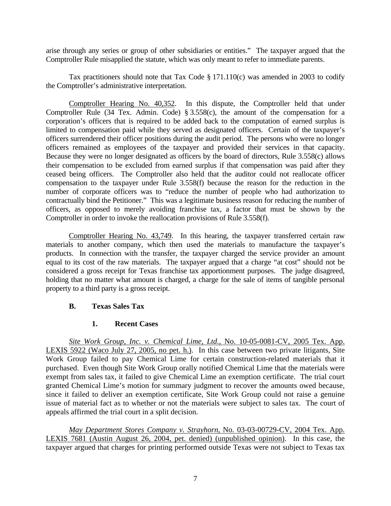arise through any series or group of other subsidiaries or entities." The taxpayer argued that the Comptroller Rule misapplied the statute, which was only meant to refer to immediate parents.

Tax practitioners should note that Tax Code § 171.110(c) was amended in 2003 to codify the Comptroller's administrative interpretation.

Comptroller Hearing No. 40,352. In this dispute, the Comptroller held that under Comptroller Rule (34 Tex. Admin. Code) § 3.558(c), the amount of the compensation for a corporation's officers that is required to be added back to the computation of earned surplus is limited to compensation paid while they served as designated officers. Certain of the taxpayer's officers surrendered their officer positions during the audit period. The persons who were no longer officers remained as employees of the taxpayer and provided their services in that capacity. Because they were no longer designated as officers by the board of directors, Rule 3.558(c) allows their compensation to be excluded from earned surplus if that compensation was paid after they ceased being officers. The Comptroller also held that the auditor could not reallocate officer compensation to the taxpayer under Rule 3.558(f) because the reason for the reduction in the number of corporate officers was to "reduce the number of people who had authorization to contractually bind the Petitioner." This was a legitimate business reason for reducing the number of officers, as opposed to merely avoiding franchise tax, a factor that must be shown by the Comptroller in order to invoke the reallocation provisions of Rule 3.558(f).

 Comptroller Hearing No. 43,749. In this hearing, the taxpayer transferred certain raw materials to another company, which then used the materials to manufacture the taxpayer's products. In connection with the transfer, the taxpayer charged the service provider an amount equal to its cost of the raw materials. The taxpayer argued that a charge "at cost" should not be considered a gross receipt for Texas franchise tax apportionment purposes. The judge disagreed, holding that no matter what amount is charged, a charge for the sale of items of tangible personal property to a third party is a gross receipt.

### **B. Texas Sales Tax**

### **1. Recent Cases**

*Site Work Group, Inc. v. Chemical Lime, Ltd.*, No. 10-05-0081-CV, 2005 Tex. App. LEXIS 5922 (Waco July 27, 2005, no pet. h.). In this case between two private litigants, Site Work Group failed to pay Chemical Lime for certain construction-related materials that it purchased. Even though Site Work Group orally notified Chemical Lime that the materials were exempt from sales tax, it failed to give Chemical Lime an exemption certificate. The trial court granted Chemical Lime's motion for summary judgment to recover the amounts owed because, since it failed to deliver an exemption certificate, Site Work Group could not raise a genuine issue of material fact as to whether or not the materials were subject to sales tax. The court of appeals affirmed the trial court in a split decision.

*May Department Stores Company v. Strayhorn*, No. 03-03-00729-CV, 2004 Tex. App. LEXIS 7681 (Austin August 26, 2004, pet. denied) (unpublished opinion). In this case, the taxpayer argued that charges for printing performed outside Texas were not subject to Texas tax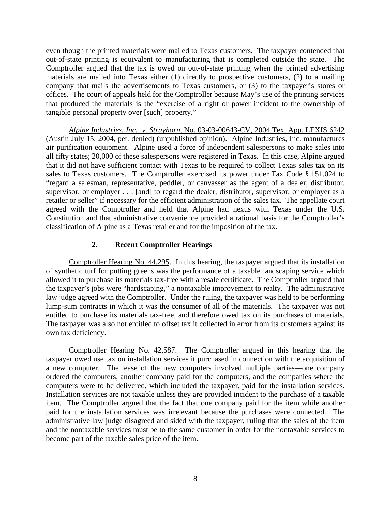even though the printed materials were mailed to Texas customers. The taxpayer contended that out-of-state printing is equivalent to manufacturing that is completed outside the state. The Comptroller argued that the tax is owed on out-of-state printing when the printed advertising materials are mailed into Texas either (1) directly to prospective customers, (2) to a mailing company that mails the advertisements to Texas customers, or (3) to the taxpayer's stores or offices. The court of appeals held for the Comptroller because May's use of the printing services that produced the materials is the "exercise of a right or power incident to the ownership of tangible personal property over [such] property."

*Alpine Industries, Inc. v. Strayhorn*, No. 03-03-00643-CV, 2004 Tex. App. LEXIS 6242 (Austin July 15, 2004, pet. denied) (unpublished opinion). Alpine Industries, Inc. manufactures air purification equipment. Alpine used a force of independent salespersons to make sales into all fifty states; 20,000 of these salespersons were registered in Texas. In this case, Alpine argued that it did not have sufficient contact with Texas to be required to collect Texas sales tax on its sales to Texas customers. The Comptroller exercised its power under Tax Code § 151.024 to "regard a salesman, representative, peddler, or canvasser as the agent of a dealer, distributor, supervisor, or employer . . . [and] to regard the dealer, distributor, supervisor, or employer as a retailer or seller" if necessary for the efficient administration of the sales tax. The appellate court agreed with the Comptroller and held that Alpine had nexus with Texas under the U.S. Constitution and that administrative convenience provided a rational basis for the Comptroller's classification of Alpine as a Texas retailer and for the imposition of the tax.

### **2. Recent Comptroller Hearings**

Comptroller Hearing No. 44,295. In this hearing, the taxpayer argued that its installation of synthetic turf for putting greens was the performance of a taxable landscaping service which allowed it to purchase its materials tax-free with a resale certificate. The Comptroller argued that the taxpayer's jobs were "hardscaping," a nontaxable improvement to realty. The administrative law judge agreed with the Comptroller. Under the ruling, the taxpayer was held to be performing lump-sum contracts in which it was the consumer of all of the materials. The taxpayer was not entitled to purchase its materials tax-free, and therefore owed tax on its purchases of materials. The taxpayer was also not entitled to offset tax it collected in error from its customers against its own tax deficiency.

Comptroller Hearing No. 42,587. The Comptroller argued in this hearing that the taxpayer owed use tax on installation services it purchased in connection with the acquisition of a new computer. The lease of the new computers involved multiple parties—one company ordered the computers, another company paid for the computers, and the companies where the computers were to be delivered, which included the taxpayer, paid for the installation services. Installation services are not taxable unless they are provided incident to the purchase of a taxable item. The Comptroller argued that the fact that one company paid for the item while another paid for the installation services was irrelevant because the purchases were connected. The administrative law judge disagreed and sided with the taxpayer, ruling that the sales of the item and the nontaxable services must be to the same customer in order for the nontaxable services to become part of the taxable sales price of the item.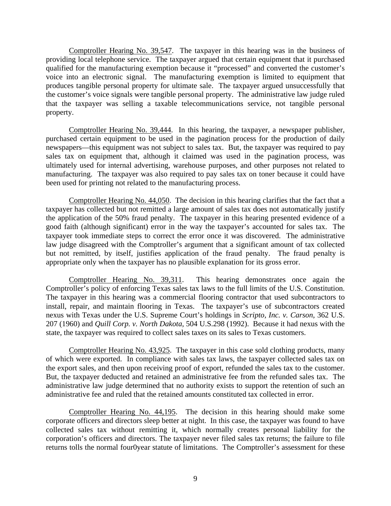Comptroller Hearing No. 39,547. The taxpayer in this hearing was in the business of providing local telephone service. The taxpayer argued that certain equipment that it purchased qualified for the manufacturing exemption because it "processed" and converted the customer's voice into an electronic signal. The manufacturing exemption is limited to equipment that produces tangible personal property for ultimate sale. The taxpayer argued unsuccessfully that the customer's voice signals were tangible personal property. The administrative law judge ruled that the taxpayer was selling a taxable telecommunications service, not tangible personal property.

Comptroller Hearing No. 39,444. In this hearing, the taxpayer, a newspaper publisher, purchased certain equipment to be used in the pagination process for the production of daily newspapers—this equipment was not subject to sales tax. But, the taxpayer was required to pay sales tax on equipment that, although it claimed was used in the pagination process, was ultimately used for internal advertising, warehouse purposes, and other purposes not related to manufacturing. The taxpayer was also required to pay sales tax on toner because it could have been used for printing not related to the manufacturing process.

Comptroller Hearing No. 44,050. The decision in this hearing clarifies that the fact that a taxpayer has collected but not remitted a large amount of sales tax does not automatically justify the application of the 50% fraud penalty. The taxpayer in this hearing presented evidence of a good faith (although significant) error in the way the taxpayer's accounted for sales tax. The taxpayer took immediate steps to correct the error once it was discovered. The administrative law judge disagreed with the Comptroller's argument that a significant amount of tax collected but not remitted, by itself, justifies application of the fraud penalty. The fraud penalty is appropriate only when the taxpayer has no plausible explanation for its gross error.

Comptroller Hearing No. 39,311. This hearing demonstrates once again the Comptroller's policy of enforcing Texas sales tax laws to the full limits of the U.S. Constitution. The taxpayer in this hearing was a commercial flooring contractor that used subcontractors to install, repair, and maintain flooring in Texas. The taxpayer's use of subcontractors created nexus with Texas under the U.S. Supreme Court's holdings in *Scripto, Inc. v. Carson*, 362 U.S. 207 (1960) and *Quill Corp. v. North Dakota*, 504 U.S.298 (1992). Because it had nexus with the state, the taxpayer was required to collect sales taxes on its sales to Texas customers.

Comptroller Hearing No. 43,925. The taxpayer in this case sold clothing products, many of which were exported. In compliance with sales tax laws, the taxpayer collected sales tax on the export sales, and then upon receiving proof of export, refunded the sales tax to the customer. But, the taxpayer deducted and retained an administrative fee from the refunded sales tax. The administrative law judge determined that no authority exists to support the retention of such an administrative fee and ruled that the retained amounts constituted tax collected in error.

Comptroller Hearing No. 44,195. The decision in this hearing should make some corporate officers and directors sleep better at night. In this case, the taxpayer was found to have collected sales tax without remitting it, which normally creates personal liability for the corporation's officers and directors. The taxpayer never filed sales tax returns; the failure to file returns tolls the normal four0year statute of limitations. The Comptroller's assessment for these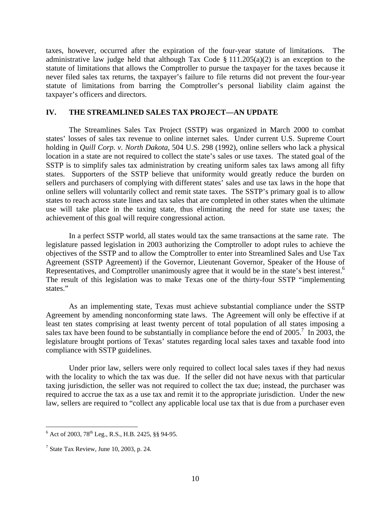taxes, however, occurred after the expiration of the four-year statute of limitations. The administrative law judge held that although Tax Code  $\S 111.205(a)(2)$  is an exception to the statute of limitations that allows the Comptroller to pursue the taxpayer for the taxes because it never filed sales tax returns, the taxpayer's failure to file returns did not prevent the four-year statute of limitations from barring the Comptroller's personal liability claim against the taxpayer's officers and directors.

### **IV. THE STREAMLINED SALES TAX PROJECT—AN UPDATE**

The Streamlines Sales Tax Project (SSTP) was organized in March 2000 to combat states' losses of sales tax revenue to online internet sales. Under current U.S. Supreme Court holding in *Quill Corp. v. North Dakota*, 504 U.S. 298 (1992), online sellers who lack a physical location in a state are not required to collect the state's sales or use taxes. The stated goal of the SSTP is to simplify sales tax administration by creating uniform sales tax laws among all fifty states. Supporters of the SSTP believe that uniformity would greatly reduce the burden on sellers and purchasers of complying with different states' sales and use tax laws in the hope that online sellers will voluntarily collect and remit state taxes. The SSTP's primary goal is to allow states to reach across state lines and tax sales that are completed in other states when the ultimate use will take place in the taxing state, thus eliminating the need for state use taxes; the achievement of this goal will require congressional action.

In a perfect SSTP world, all states would tax the same transactions at the same rate. The legislature passed legislation in 2003 authorizing the Comptroller to adopt rules to achieve the objectives of the SSTP and to allow the Comptroller to enter into Streamlined Sales and Use Tax Agreement (SSTP Agreement) if the Governor, Lieutenant Governor, Speaker of the House of Representatives, and Comptroller unanimously agree that it would be in the state's best interest.<sup>6</sup> The result of this legislation was to make Texas one of the thirty-four SSTP "implementing states."

As an implementing state, Texas must achieve substantial compliance under the SSTP Agreement by amending nonconforming state laws. The Agreement will only be effective if at least ten states comprising at least twenty percent of total population of all states imposing a sales tax have been found to be substantially in compliance before the end of  $2005$ .<sup>[7](#page-11-1)</sup> In 2003, the legislature brought portions of Texas' statutes regarding local sales taxes and taxable food into compliance with SSTP guidelines.

Under prior law, sellers were only required to collect local sales taxes if they had nexus with the locality to which the tax was due. If the seller did not have nexus with that particular taxing jurisdiction, the seller was not required to collect the tax due; instead, the purchaser was required to accrue the tax as a use tax and remit it to the appropriate jurisdiction. Under the new law, sellers are required to "collect any applicable local use tax that is due from a purchaser even

<span id="page-11-0"></span> $\frac{1}{6}$  $6$  Act of 2003, 78<sup>th</sup> Leg., R.S., H.B. 2425, §§ 94-95.

<span id="page-11-1"></span> $<sup>7</sup>$  State Tax Review, June 10, 2003, p. 24.</sup>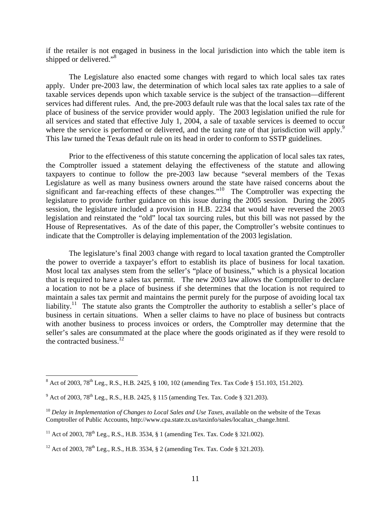if the retailer is not engaged in business in the local jurisdiction into which the table item is shipped or delivered."<sup>[8](#page-12-0)</sup>

The Legislature also enacted some changes with regard to which local sales tax rates apply. Under pre-2003 law, the determination of which local sales tax rate applies to a sale of taxable services depends upon which taxable service is the subject of the transaction—different services had different rules. And, the pre-2003 default rule was that the local sales tax rate of the place of business of the service provider would apply. The 2003 legislation unified the rule for all services and stated that effective July 1, 2004, a sale of taxable services is deemed to occur where the service is performed or delivered, and the taxing rate of that jurisdiction will apply.<sup>9</sup> This law turned the Texas default rule on its head in order to conform to SSTP guidelines.

Prior to the effectiveness of this statute concerning the application of local sales tax rates, the Comptroller issued a statement delaying the effectiveness of the statute and allowing taxpayers to continue to follow the pre-2003 law because "several members of the Texas Legislature as well as many business owners around the state have raised concerns about the significant and far-reaching effects of these changes."<sup>10</sup> The Comptroller was expecting the legislature to provide further guidance on this issue during the 2005 session. During the 2005 session, the legislature included a provision in H.B. 2234 that would have reversed the 2003 legislation and reinstated the "old" local tax sourcing rules, but this bill was not passed by the House of Representatives. As of the date of this paper, the Comptroller's website continues to indicate that the Comptroller is delaying implementation of the 2003 legislation.

The legislature's final 2003 change with regard to local taxation granted the Comptroller the power to override a taxpayer's effort to establish its place of business for local taxation. Most local tax analyses stem from the seller's "place of business," which is a physical location that is required to have a sales tax permit. The new 2003 law allows the Comptroller to declare a location to not be a place of business if she determines that the location is not required to maintain a sales tax permit and maintains the permit purely for the purpose of avoiding local tax liability.<sup>11</sup> The statute also grants the Comptroller the authority to establish a seller's place of business in certain situations. When a seller claims to have no place of business but contracts with another business to process invoices or orders, the Comptroller may determine that the seller's sales are consummated at the place where the goods originated as if they were resold to the contracted business. $12$ 

<span id="page-12-0"></span> $\frac{1}{8}$  $8$  Act of 2003, 78<sup>th</sup> Leg., R.S., H.B. 2425, § 100, 102 (amending Tex. Tax Code § 151.103, 151.202).

<span id="page-12-1"></span> $^{9}$  Act of 2003, 78<sup>th</sup> Leg., R.S., H.B. 2425, § 115 (amending Tex. Tax. Code § 321.203).

<span id="page-12-2"></span><sup>10</sup> *Delay in Implementation of Changes to Local Sales and Use Taxes*, available on the website of the Texas Comptroller of Public Accounts, http://www.cpa.state.tx.us/taxinfo/sales/localtax\_change.html.

<span id="page-12-3"></span><sup>&</sup>lt;sup>11</sup> Act of 2003, 78<sup>th</sup> Leg., R.S., H.B. 3534, § 1 (amending Tex. Tax. Code § 321.002).

<span id="page-12-4"></span><sup>&</sup>lt;sup>12</sup> Act of 2003, 78<sup>th</sup> Leg., R.S., H.B. 3534, § 2 (amending Tex. Tax. Code § 321.203).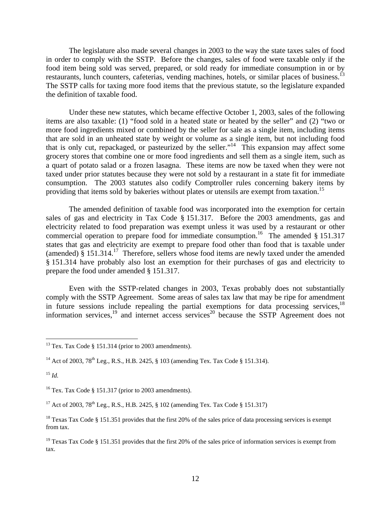The legislature also made several changes in 2003 to the way the state taxes sales of food in order to comply with the SSTP. Before the changes, sales of food were taxable only if the food item being sold was served, prepared, or sold ready for immediate consumption in or by restaurants, lunch counters, cafeterias, vending machines, hotels, or similar places of business.<sup>13</sup> The SSTP calls for taxing more food items that the previous statute, so the legislature expanded the definition of taxable food.

Under these new statutes, which became effective October 1, 2003, sales of the following items are also taxable: (1) "food sold in a heated state or heated by the seller" and (2) "two or more food ingredients mixed or combined by the seller for sale as a single item, including items that are sold in an unheated state by weight or volume as a single item, but not including food that is only cut, repackaged, or pasteurized by the seller."<sup>14</sup> This expansion may affect some grocery stores that combine one or more food ingredients and sell them as a single item, such as a quart of potato salad or a frozen lasagna. These items are now be taxed when they were not taxed under prior statutes because they were not sold by a restaurant in a state fit for immediate consumption. The 2003 statutes also codify Comptroller rules concerning bakery items by providing that items sold by bakeries without plates or utensils are exempt from taxation.<sup>[15](#page-13-2)</sup>

The amended definition of taxable food was incorporated into the exemption for certain sales of gas and electricity in Tax Code § 151.317. Before the 2003 amendments, gas and electricity related to food preparation was exempt unless it was used by a restaurant or other commercial operation to prepare food for immediate consumption.<sup>16</sup> The amended  $§$  151.317 states that gas and electricity are exempt to prepare food other than food that is taxable under (amended)  $§$  151.314.<sup>17</sup> Therefore, sellers whose food items are newly taxed under the amended § 151.314 have probably also lost an exemption for their purchases of gas and electricity to prepare the food under amended § 151.317.

<span id="page-13-7"></span>Even with the SSTP-related changes in 2003, Texas probably does not substantially comply with the SSTP Agreement. Some areas of sales tax law that may be ripe for amendment in future sessions include repealing the partial exemptions for data processing services,<sup>[18](#page-13-5)</sup> information services,<sup>19</sup> and internet access services<sup>20</sup> because the SSTP Agreement does not

<span id="page-13-2"></span><sup>15</sup> *Id.*

<span id="page-13-3"></span><sup>16</sup> Tex. Tax Code § 151.317 (prior to 2003 amendments).

<span id="page-13-0"></span> $13$  Tex. Tax Code § 151.314 (prior to 2003 amendments).

<span id="page-13-1"></span><sup>&</sup>lt;sup>14</sup> Act of 2003, 78<sup>th</sup> Leg., R.S., H.B. 2425, § 103 (amending Tex. Tax Code § 151.314).

<span id="page-13-4"></span><sup>&</sup>lt;sup>17</sup> Act of 2003, 78<sup>th</sup> Leg., R.S., H.B. 2425,  $\S$  102 (amending Tex. Tax Code  $\S$  151.317)

<span id="page-13-5"></span><sup>&</sup>lt;sup>18</sup> Texas Tax Code § 151.351 provides that the first 20% of the sales price of data processing services is exempt from tax.

<span id="page-13-6"></span><sup>&</sup>lt;sup>19</sup> Texas Tax Code § 151.351 provides that the first 20% of the sales price of information services is exempt from tax.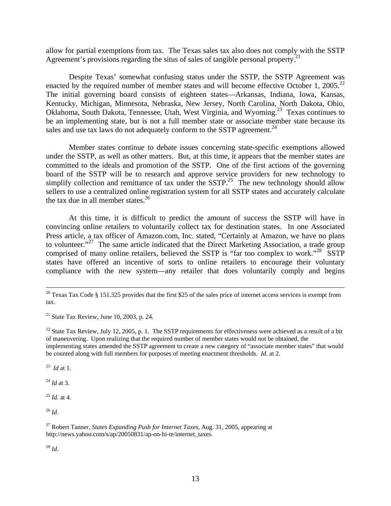allow for partial exemptions from tax. The Texas sales tax also does not comply with the SSTP Agreement's provisions regarding the situs of sales of tangible personal property.<sup>21</sup>

Despite Texas' somewhat confusing status under the SSTP, the SSTP Agreement was enacted by the required number of member states and will become effective October 1, 2005.<sup>22</sup> The initial governing board consists of eighteen states—Arkansas, Indiana, Iowa, Kansas, Kentucky, Michigan, Minnesota, Nebraska, New Jersey, North Carolina, North Dakota, Ohio, Oklahoma, South Dakota, Tennessee, Utah, West Virginia, and Wyoming.[23](#page-14-2) Texas continues to be an implementing state, but is not a full member state or associate member state because its sales and use tax laws do not adequately conform to the SSTP agreement.<sup>[24](#page-14-3)</sup>

Member states continue to debate issues concerning state-specific exemptions allowed under the SSTP, as well as other matters. But, at this time, it appears that the member states are committed to the ideals and promotion of the SSTP. One of the first actions of the governing board of the SSTP will be to research and approve service providers for new technology to simplify collection and remittance of tax under the SSTP.<sup>25</sup> The new technology should allow sellers to use a centralized online registration system for all SSTP states and accurately calculate the tax due in all member states. $26$ 

At this time, it is difficult to predict the amount of success the SSTP will have in convincing online retailers to voluntarily collect tax for destination states. In one Associated Press article, a tax officer of Amazon.com, Inc. stated, "Certainly at Amazon, we have no plans to volunteer."<sup>27</sup> The same article indicated that the Direct Marketing Association, a trade group comprised of many online retailers, believed the SSTP is "far too complex to work."<sup>28</sup> SSTP states have offered an incentive of sorts to online retailers to encourage their voluntary compliance with the new system—any retailer that does voluntarily comply and begins

<span id="page-14-0"></span> $21$  State Tax Review, June 10, 2003, p. 24.

<span id="page-14-1"></span><sup>22</sup> State Tax Review, July 12, 2005, p. 1. The SSTP requirements for effectiveness were achieved as a result of a bit of maneuvering. Upon realizing that the required number of member states would not be obtained, the implementing states amended the SSTP agreement to create a new category of "associate member states" that would be counted along with full members for purposes of meeting enactment thresholds. *Id.* at 2.

<span id="page-14-2"></span>23 *Id* at 1*.* 

<span id="page-14-3"></span><sup>24</sup> *Id* at 3*.* 

<span id="page-14-4"></span><sup>25</sup> *Id.* at 4.

<span id="page-14-5"></span> $^{26}$  *Id.* 

<span id="page-14-7"></span> $^{28}$  *Id.* 

 $20$  Texas Tax Code § 151.325 provides that the first \$25 of the sales price of internet access services is exempt from tax.

<span id="page-14-6"></span><sup>27</sup> Robert Tanner, *States Expanding Push for Internet Taxes*, Aug. 31, 2005, appearing at http://news.yahoo.com/s/ap/20050831/ap-on-hi-te/internet\_taxes.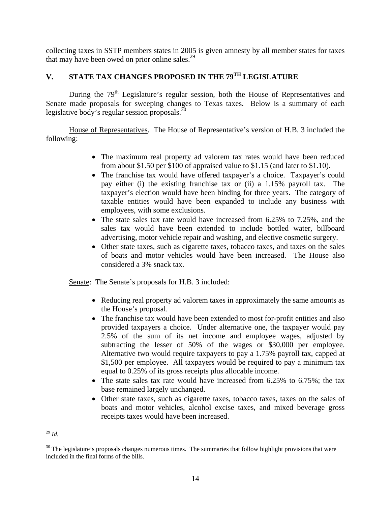collecting taxes in SSTP members states in 2005 is given amnesty by all member states for taxes that may have been owed on prior online sales. $^{29}$  $^{29}$  $^{29}$ 

# **V. STATE TAX CHANGES PROPOSED IN THE 79TH LEGISLATURE**

During the 79<sup>th</sup> Legislature's regular session, both the House of Representatives and Senate made proposals for sweeping changes to Texas taxes. Below is a summary of each legislative body's regular session proposals.<sup>[30](#page-15-1)</sup>

 House of Representatives. The House of Representative's version of H.B. 3 included the following:

- The maximum real property ad valorem tax rates would have been reduced from about \$1.50 per \$100 of appraised value to \$1.15 (and later to \$1.10).
- The franchise tax would have offered taxpayer's a choice. Taxpayer's could pay either (i) the existing franchise tax or (ii) a 1.15% payroll tax. The taxpayer's election would have been binding for three years. The category of taxable entities would have been expanded to include any business with employees, with some exclusions.
- The state sales tax rate would have increased from 6.25% to 7.25%, and the sales tax would have been extended to include bottled water, billboard advertising, motor vehicle repair and washing, and elective cosmetic surgery.
- Other state taxes, such as cigarette taxes, tobacco taxes, and taxes on the sales of boats and motor vehicles would have been increased. The House also considered a 3% snack tax.

Senate: The Senate's proposals for H.B. 3 included:

- Reducing real property ad valorem taxes in approximately the same amounts as the House's proposal.
- The franchise tax would have been extended to most for-profit entities and also provided taxpayers a choice. Under alternative one, the taxpayer would pay 2.5% of the sum of its net income and employee wages, adjusted by subtracting the lesser of 50% of the wages or \$30,000 per employee. Alternative two would require taxpayers to pay a 1.75% payroll tax, capped at \$1,500 per employee. All taxpayers would be required to pay a minimum tax equal to 0.25% of its gross receipts plus allocable income.
- The state sales tax rate would have increased from 6.25% to 6.75%; the tax base remained largely unchanged.
- Other state taxes, such as cigarette taxes, tobacco taxes, taxes on the sales of boats and motor vehicles, alcohol excise taxes, and mixed beverage gross receipts taxes would have been increased.

<span id="page-15-0"></span> <sup>29</sup> *Id.* 

<span id="page-15-1"></span><sup>&</sup>lt;sup>30</sup> The legislature's proposals changes numerous times. The summaries that follow highlight provisions that were included in the final forms of the bills.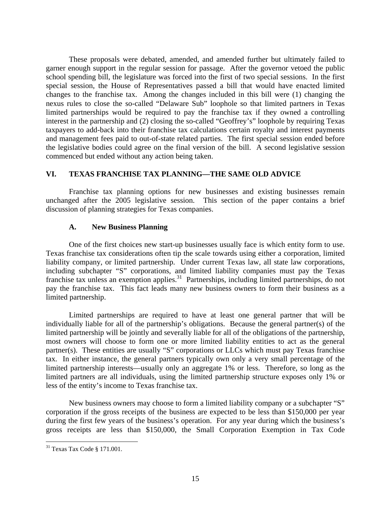These proposals were debated, amended, and amended further but ultimately failed to garner enough support in the regular session for passage. After the governor vetoed the public school spending bill, the legislature was forced into the first of two special sessions. In the first special session, the House of Representatives passed a bill that would have enacted limited changes to the franchise tax. Among the changes included in this bill were (1) changing the nexus rules to close the so-called "Delaware Sub" loophole so that limited partners in Texas limited partnerships would be required to pay the franchise tax if they owned a controlling interest in the partnership and (2) closing the so-called "Geoffrey's" loophole by requiring Texas taxpayers to add-back into their franchise tax calculations certain royalty and interest payments and management fees paid to out-of-state related parties. The first special session ended before the legislative bodies could agree on the final version of the bill. A second legislative session commenced but ended without any action being taken.

### **VI. TEXAS FRANCHISE TAX PLANNING—THE SAME OLD ADVICE**

Franchise tax planning options for new businesses and existing businesses remain unchanged after the 2005 legislative session. This section of the paper contains a brief discussion of planning strategies for Texas companies.

### **A. New Business Planning**

One of the first choices new start-up businesses usually face is which entity form to use. Texas franchise tax considerations often tip the scale towards using either a corporation, limited liability company, or limited partnership. Under current Texas law, all state law corporations, including subchapter "S" corporations, and limited liability companies must pay the Texas franchise tax unless an exemption applies.<sup>31</sup> Partnerships, including limited partnerships, do not pay the franchise tax. This fact leads many new business owners to form their business as a limited partnership.

Limited partnerships are required to have at least one general partner that will be individually liable for all of the partnership's obligations. Because the general partner(s) of the limited partnership will be jointly and severally liable for all of the obligations of the partnership, most owners will choose to form one or more limited liability entities to act as the general partner(s). These entities are usually "S" corporations or LLCs which must pay Texas franchise tax. In either instance, the general partners typically own only a very small percentage of the limited partnership interests—usually only an aggregate 1% or less. Therefore, so long as the limited partners are all individuals, using the limited partnership structure exposes only 1% or less of the entity's income to Texas franchise tax.

New business owners may choose to form a limited liability company or a subchapter "S" corporation if the gross receipts of the business are expected to be less than \$150,000 per year during the first few years of the business's operation. For any year during which the business's gross receipts are less than \$150,000, the Small Corporation Exemption in Tax Code

<span id="page-16-0"></span> <sup>31</sup> Texas Tax Code § 171.001.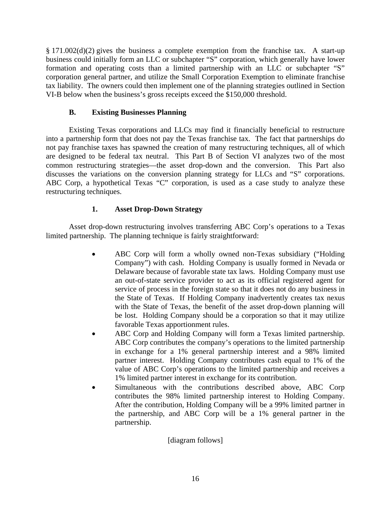§ 171.002(d)(2) gives the business a complete exemption from the franchise tax. A start-up business could initially form an LLC or subchapter "S" corporation, which generally have lower formation and operating costs than a limited partnership with an LLC or subchapter "S" corporation general partner, and utilize the Small Corporation Exemption to eliminate franchise tax liability. The owners could then implement one of the planning strategies outlined in Section VI-B below when the business's gross receipts exceed the \$150,000 threshold.

### **B. Existing Businesses Planning**

Existing Texas corporations and LLCs may find it financially beneficial to restructure into a partnership form that does not pay the Texas franchise tax. The fact that partnerships do not pay franchise taxes has spawned the creation of many restructuring techniques, all of which are designed to be federal tax neutral. This Part B of Section VI analyzes two of the most common restructuring strategies—the asset drop-down and the conversion. This Part also discusses the variations on the conversion planning strategy for LLCs and "S" corporations. ABC Corp, a hypothetical Texas "C" corporation, is used as a case study to analyze these restructuring techniques.

## **1. Asset Drop-Down Strategy**

Asset drop-down restructuring involves transferring ABC Corp's operations to a Texas limited partnership. The planning technique is fairly straightforward:

- ABC Corp will form a wholly owned non-Texas subsidiary ("Holding Company") with cash. Holding Company is usually formed in Nevada or Delaware because of favorable state tax laws. Holding Company must use an out-of-state service provider to act as its official registered agent for service of process in the foreign state so that it does not do any business in the State of Texas. If Holding Company inadvertently creates tax nexus with the State of Texas, the benefit of the asset drop-down planning will be lost. Holding Company should be a corporation so that it may utilize favorable Texas apportionment rules.
- ABC Corp and Holding Company will form a Texas limited partnership. ABC Corp contributes the company's operations to the limited partnership in exchange for a 1% general partnership interest and a 98% limited partner interest. Holding Company contributes cash equal to 1% of the value of ABC Corp's operations to the limited partnership and receives a 1% limited partner interest in exchange for its contribution.
- Simultaneous with the contributions described above, ABC Corp contributes the 98% limited partnership interest to Holding Company. After the contribution, Holding Company will be a 99% limited partner in the partnership, and ABC Corp will be a 1% general partner in the partnership.

[diagram follows]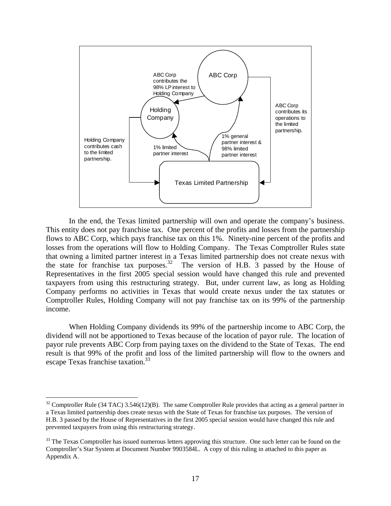

In the end, the Texas limited partnership will own and operate the company's business. This entity does not pay franchise tax. One percent of the profits and losses from the partnership flows to ABC Corp, which pays franchise tax on this 1%. Ninety-nine percent of the profits and losses from the operations will flow to Holding Company. The Texas Comptroller Rules state that owning a limited partner interest in a Texas limited partnership does not create nexus with the state for franchise tax purposes.<sup>32</sup> The version of H.B. 3 passed by the House of Representatives in the first 2005 special session would have changed this rule and prevented taxpayers from using this restructuring strategy. But, under current law, as long as Holding Company performs no activities in Texas that would create nexus under the tax statutes or Comptroller Rules, Holding Company will not pay franchise tax on its 99% of the partnership income.

When Holding Company dividends its 99% of the partnership income to ABC Corp, the dividend will not be apportioned to Texas because of the location of payor rule. The location of payor rule prevents ABC Corp from paying taxes on the dividend to the State of Texas. The end result is that 99% of the profit and loss of the limited partnership will flow to the owners and escape Texas franchise taxation.<sup>33</sup>

<span id="page-18-0"></span> $32$  Comptroller Rule (34 TAC) 3.546(12)(B). The same Comptroller Rule provides that acting as a general partner in a Texas limited partnership does create nexus with the State of Texas for franchise tax purposes. The version of H.B. 3 passed by the House of Representatives in the first 2005 special session would have changed this rule and prevented taxpayers from using this restructuring strategy.

<span id="page-18-1"></span><sup>&</sup>lt;sup>33</sup> The Texas Comptroller has issued numerous letters approving this structure. One such letter can be found on the Comptroller's Star System at Document Number 9903584L. A copy of this ruling in attached to this paper as Appendix A.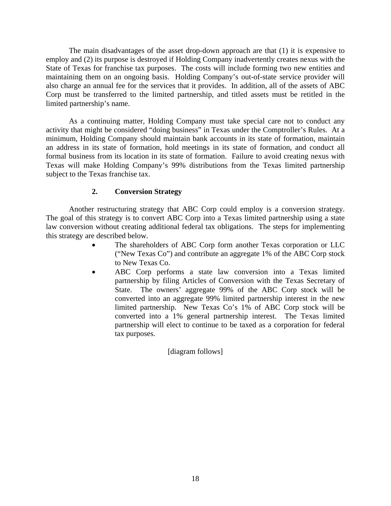The main disadvantages of the asset drop-down approach are that (1) it is expensive to employ and (2) its purpose is destroyed if Holding Company inadvertently creates nexus with the State of Texas for franchise tax purposes. The costs will include forming two new entities and maintaining them on an ongoing basis. Holding Company's out-of-state service provider will also charge an annual fee for the services that it provides. In addition, all of the assets of ABC Corp must be transferred to the limited partnership, and titled assets must be retitled in the limited partnership's name.

As a continuing matter, Holding Company must take special care not to conduct any activity that might be considered "doing business" in Texas under the Comptroller's Rules. At a minimum, Holding Company should maintain bank accounts in its state of formation, maintain an address in its state of formation, hold meetings in its state of formation, and conduct all formal business from its location in its state of formation. Failure to avoid creating nexus with Texas will make Holding Company's 99% distributions from the Texas limited partnership subject to the Texas franchise tax.

### **2. Conversion Strategy**

Another restructuring strategy that ABC Corp could employ is a conversion strategy. The goal of this strategy is to convert ABC Corp into a Texas limited partnership using a state law conversion without creating additional federal tax obligations. The steps for implementing this strategy are described below.

- The shareholders of ABC Corp form another Texas corporation or LLC ("New Texas Co") and contribute an aggregate 1% of the ABC Corp stock to New Texas Co.
- ABC Corp performs a state law conversion into a Texas limited partnership by filing Articles of Conversion with the Texas Secretary of State. The owners' aggregate 99% of the ABC Corp stock will be converted into an aggregate 99% limited partnership interest in the new limited partnership. New Texas Co's 1% of ABC Corp stock will be converted into a 1% general partnership interest. The Texas limited partnership will elect to continue to be taxed as a corporation for federal tax purposes.

[diagram follows]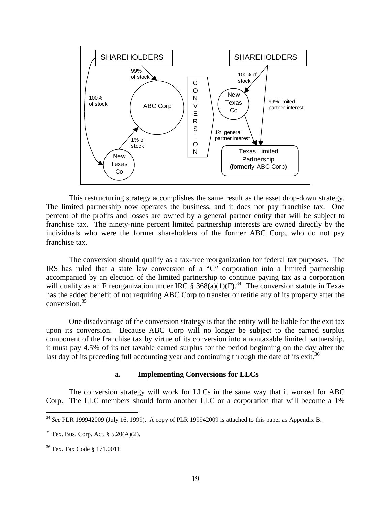

This restructuring strategy accomplishes the same result as the asset drop-down strategy. The limited partnership now operates the business, and it does not pay franchise tax. One percent of the profits and losses are owned by a general partner entity that will be subject to franchise tax. The ninety-nine percent limited partnership interests are owned directly by the individuals who were the former shareholders of the former ABC Corp, who do not pay franchise tax.

The conversion should qualify as a tax-free reorganization for federal tax purposes. The IRS has ruled that a state law conversion of a "C" corporation into a limited partnership accompanied by an election of the limited partnership to continue paying tax as a corporation will qualify as an F reorganization under IRC § 368(a)(1)(F).<sup>34</sup> The conversion statute in Texas has the added benefit of not requiring ABC Corp to transfer or retitle any of its property after the conversion.[35](#page-20-1) 

One disadvantage of the conversion strategy is that the entity will be liable for the exit tax upon its conversion. Because ABC Corp will no longer be subject to the earned surplus component of the franchise tax by virtue of its conversion into a nontaxable limited partnership, it must pay 4.5% of its net taxable earned surplus for the period beginning on the day after the last day of its preceding full accounting year and continuing through the date of its exit.<sup>36</sup>

#### **a. Implementing Conversions for LLCs**

The conversion strategy will work for LLCs in the same way that it worked for ABC Corp. The LLC members should form another LLC or a corporation that will become a 1%

<span id="page-20-0"></span> <sup>34</sup> *See* PLR 199942009 (July 16, 1999). A copy of PLR 199942009 is attached to this paper as Appendix B.

<span id="page-20-1"></span> $35$  Tex. Bus. Corp. Act. § 5.20(A)(2).

<span id="page-20-2"></span><sup>36</sup> Tex. Tax Code § 171.0011.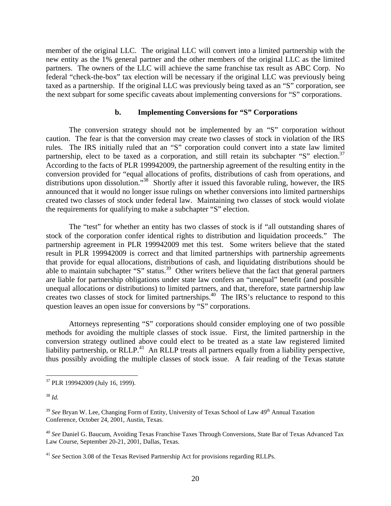member of the original LLC. The original LLC will convert into a limited partnership with the new entity as the 1% general partner and the other members of the original LLC as the limited partners. The owners of the LLC will achieve the same franchise tax result as ABC Corp. No federal "check-the-box" tax election will be necessary if the original LLC was previously being taxed as a partnership. If the original LLC was previously being taxed as an "S" corporation, see the next subpart for some specific caveats about implementing conversions for "S" corporations.

#### **b. Implementing Conversions for "S" Corporations**

The conversion strategy should not be implemented by an "S" corporation without caution. The fear is that the conversion may create two classes of stock in violation of the IRS rules. The IRS initially ruled that an "S" corporation could convert into a state law limited partnership, elect to be taxed as a corporation, and still retain its subchapter "S" election.<sup>37</sup> According to the facts of PLR 199942009, the partnership agreement of the resulting entity in the conversion provided for "equal allocations of profits, distributions of cash from operations, and distributions upon dissolution."<sup>38</sup> Shortly after it issued this favorable ruling, however, the IRS announced that it would no longer issue rulings on whether conversions into limited partnerships created two classes of stock under federal law. Maintaining two classes of stock would violate the requirements for qualifying to make a subchapter "S" election.

The "test" for whether an entity has two classes of stock is if "all outstanding shares of stock of the corporation confer identical rights to distribution and liquidation proceeds." The partnership agreement in PLR 199942009 met this test. Some writers believe that the stated result in PLR 199942009 is correct and that limited partnerships with partnership agreements that provide for equal allocations, distributions of cash, and liquidating distributions should be able to maintain subchapter "S" status.<sup>39</sup> Other writers believe that the fact that general partners are liable for partnership obligations under state law confers an "unequal" benefit (and possible unequal allocations or distributions) to limited partners, and that, therefore, state partnership law creates two classes of stock for limited partnerships.<sup>40</sup> The IRS's reluctance to respond to this question leaves an open issue for conversions by "S" corporations.

Attorneys representing "S" corporations should consider employing one of two possible methods for avoiding the multiple classes of stock issue. First, the limited partnership in the conversion strategy outlined above could elect to be treated as a state law registered limited liability partnership, or RLLP.<sup>41</sup> An RLLP treats all partners equally from a liability perspective, thus possibly avoiding the multiple classes of stock issue. A fair reading of the Texas statute

<span id="page-21-0"></span> <sup>37</sup> PLR 199942009 (July 16, 1999).

<span id="page-21-1"></span><sup>38</sup> *Id.*

<span id="page-21-2"></span><sup>&</sup>lt;sup>39</sup> See Bryan W. Lee, Changing Form of Entity, University of Texas School of Law 49<sup>th</sup> Annual Taxation Conference, October 24, 2001, Austin, Texas.

<span id="page-21-3"></span><sup>40</sup> *See* Daniel G. Baucum, Avoiding Texas Franchise Taxes Through Conversions, State Bar of Texas Advanced Tax Law Course, September 20-21, 2001, Dallas, Texas.

<span id="page-21-4"></span><sup>41</sup> *See* Section 3.08 of the Texas Revised Partnership Act for provisions regarding RLLPs.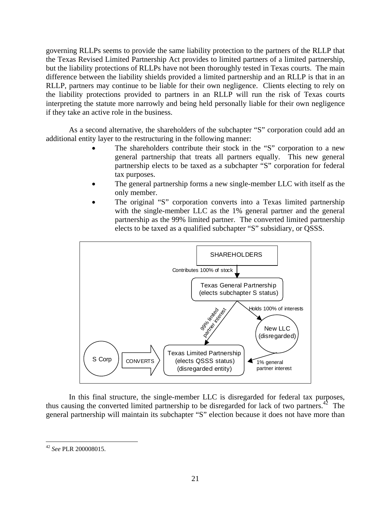governing RLLPs seems to provide the same liability protection to the partners of the RLLP that the Texas Revised Limited Partnership Act provides to limited partners of a limited partnership, but the liability protections of RLLPs have not been thoroughly tested in Texas courts. The main difference between the liability shields provided a limited partnership and an RLLP is that in an RLLP, partners may continue to be liable for their own negligence. Clients electing to rely on the liability protections provided to partners in an RLLP will run the risk of Texas courts interpreting the statute more narrowly and being held personally liable for their own negligence if they take an active role in the business.

As a second alternative, the shareholders of the subchapter "S" corporation could add an additional entity layer to the restructuring in the following manner:

- The shareholders contribute their stock in the "S" corporation to a new general partnership that treats all partners equally. This new general partnership elects to be taxed as a subchapter "S" corporation for federal tax purposes.
- The general partnership forms a new single-member LLC with itself as the only member.
- The original "S" corporation converts into a Texas limited partnership with the single-member LLC as the 1% general partner and the general partnership as the 99% limited partner. The converted limited partnership elects to be taxed as a qualified subchapter "S" subsidiary, or QSSS.



In this final structure, the single-member LLC is disregarded for federal tax purposes, thus causing the converted limited partnership to be disregarded for lack of two partners.<sup>42</sup> The general partnership will maintain its subchapter "S" election because it does not have more than

<span id="page-22-0"></span> <sup>42</sup> *See* PLR 200008015.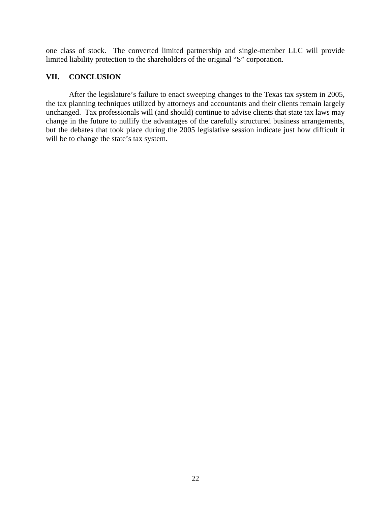one class of stock. The converted limited partnership and single-member LLC will provide limited liability protection to the shareholders of the original "S" corporation.

### **VII. CONCLUSION**

After the legislature's failure to enact sweeping changes to the Texas tax system in 2005, the tax planning techniques utilized by attorneys and accountants and their clients remain largely unchanged. Tax professionals will (and should) continue to advise clients that state tax laws may change in the future to nullify the advantages of the carefully structured business arrangements, but the debates that took place during the 2005 legislative session indicate just how difficult it will be to change the state's tax system.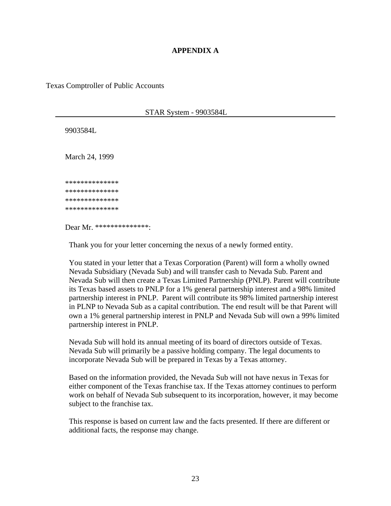### **APPENDIX A**

Texas Comptroller of Public Accounts

#### STAR System - 9903584L

9903584L

March 24, 1999

 \*\*\*\*\*\*\*\*\*\*\*\*\*\* \*\*\*\*\*\*\*\*\*\*\*\*\*\* \*\*\*\*\*\*\*\*\*\*\*\*\*\* \*\*\*\*\*\*\*\*\*\*\*\*\*\*

Dear Mr. \*\*\*\*\*\*\*\*\*\*\*\*\*\*:

Thank you for your letter concerning the nexus of a newly formed entity.

You stated in your letter that a Texas Corporation (Parent) will form a wholly owned Nevada Subsidiary (Nevada Sub) and will transfer cash to Nevada Sub. Parent and Nevada Sub will then create a Texas Limited Partnership (PNLP). Parent will contribute its Texas based assets to PNLP for a 1% general partnership interest and a 98% limited partnership interest in PNLP. Parent will contribute its 98% limited partnership interest in PLNP to Nevada Sub as a capital contribution. The end result will be that Parent will own a 1% general partnership interest in PNLP and Nevada Sub will own a 99% limited partnership interest in PNLP.

 Nevada Sub will hold its annual meeting of its board of directors outside of Texas. Nevada Sub will primarily be a passive holding company. The legal documents to incorporate Nevada Sub will be prepared in Texas by a Texas attorney.

 Based on the information provided, the Nevada Sub will not have nexus in Texas for either component of the Texas franchise tax. If the Texas attorney continues to perform work on behalf of Nevada Sub subsequent to its incorporation, however, it may become subject to the franchise tax.

 This response is based on current law and the facts presented. If there are different or additional facts, the response may change.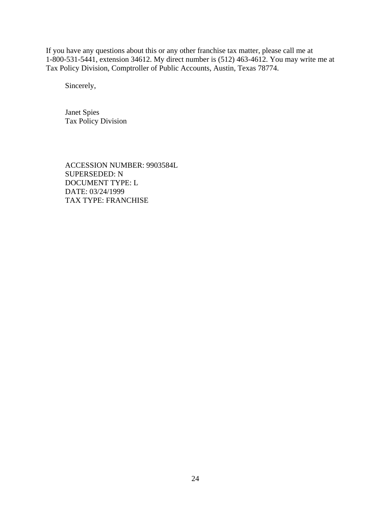If you have any questions about this or any other franchise tax matter, please call me at 1-800-531-5441, extension 34612. My direct number is (512) 463-4612. You may write me at Tax Policy Division, Comptroller of Public Accounts, Austin, Texas 78774.

Sincerely,

 Janet Spies Tax Policy Division

 ACCESSION NUMBER: 9903584L SUPERSEDED: N DOCUMENT TYPE: L DATE: 03/24/1999 TAX TYPE: FRANCHISE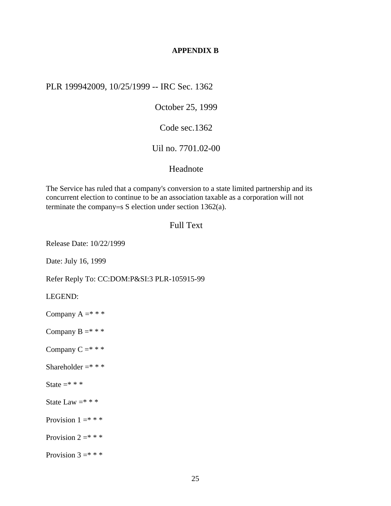#### **APPENDIX B**

PLR 199942009, 10/25/1999 -- IRC Sec. 1362

October 25, 1999

Code sec.1362

## Uil no. 7701.02-00

### Headnote

The Service has ruled that a company's conversion to a state limited partnership and its concurrent election to continue to be an association taxable as a corporation will not terminate the company=s S election under section 1362(a).

### Full Text

Release Date: 10/22/1999

Date: July 16, 1999

Refer Reply To: CC:DOM:P&SI:3 PLR-105915-99

LEGEND:

Company  $A = * * * *$ 

Company  $B = * * *$ 

Company  $C = * * *$ 

Shareholder  $=$ \* \* \*

State  $=$ \* \* \*

State Law  $=$ \* \* \*

Provision  $1 = * * *$ 

Provision  $2 = * * *$ 

Provision  $3 = * * *$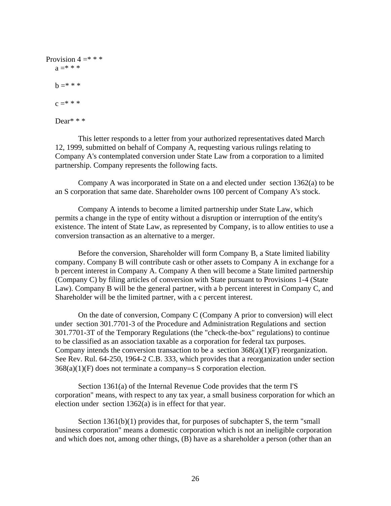```
Provision 4 = * * *a = * * * *b = * * *c = * * *Dear* * *
```
This letter responds to a letter from your authorized representatives dated March 12, 1999, submitted on behalf of Company A, requesting various rulings relating to Company A's contemplated conversion under State Law from a corporation to a limited partnership. Company represents the following facts.

Company A was incorporated in State on a and elected under section 1362(a) to be an S corporation that same date. Shareholder owns 100 percent of Company A's stock.

Company A intends to become a limited partnership under State Law, which permits a change in the type of entity without a disruption or interruption of the entity's existence. The intent of State Law, as represented by Company, is to allow entities to use a conversion transaction as an alternative to a merger.

Before the conversion, Shareholder will form Company B, a State limited liability company. Company B will contribute cash or other assets to Company A in exchange for a b percent interest in Company A. Company A then will become a State limited partnership (Company C) by filing articles of conversion with State pursuant to Provisions 1-4 (State Law). Company B will be the general partner, with a b percent interest in Company C, and Shareholder will be the limited partner, with a c percent interest.

On the date of conversion, Company C (Company A prior to conversion) will elect under section 301.7701-3 of the Procedure and Administration Regulations and section 301.7701-3T of the Temporary Regulations (the "check-the-box" regulations) to continue to be classified as an association taxable as a corporation for federal tax purposes. Company intends the conversion transaction to be a section  $368(a)(1)(F)$  reorganization. See Rev. Rul. 64-250, 1964-2 C.B. 333, which provides that a reorganization under section 368(a)(1)(F) does not terminate a company=s S corporation election.

Section 1361(a) of the Internal Revenue Code provides that the term I'S corporation" means, with respect to any tax year, a small business corporation for which an election under section 1362(a) is in effect for that year.

Section 1361(b)(1) provides that, for purposes of subchapter S, the term "small business corporation" means a domestic corporation which is not an ineligible corporation and which does not, among other things, (B) have as a shareholder a person (other than an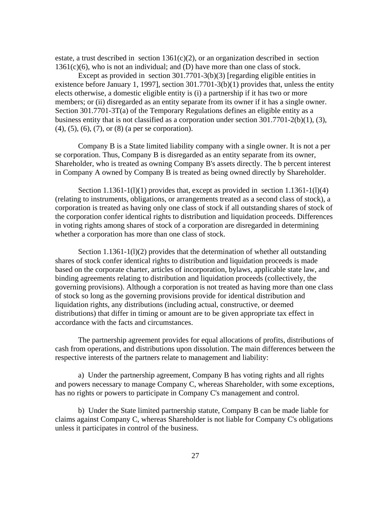estate, a trust described in section  $1361(c)(2)$ , or an organization described in section 1361(c)(6), who is not an individual; and (D) have more than one class of stock.

Except as provided in section 301.7701-3(b)(3) [regarding eligible entities in existence before January 1, 1997], section 301.7701-3(b)(1) provides that, unless the entity elects otherwise, a domestic eligible entity is (i) a partnership if it has two or more members; or (ii) disregarded as an entity separate from its owner if it has a single owner. Section 301.7701-3T(a) of the Temporary Regulations defines an eligible entity as a business entity that is not classified as a corporation under section 301.7701-2(b)(1), (3), (4), (5), (6), (7), or (8) (a per se corporation).

Company B is a State limited liability company with a single owner. It is not a per se corporation. Thus, Company B is disregarded as an entity separate from its owner, Shareholder, who is treated as owning Company B's assets directly. The b percent interest in Company A owned by Company B is treated as being owned directly by Shareholder.

Section  $1.1361-1(1)(1)$  provides that, except as provided in section  $1.1361-1(1)(4)$ (relating to instruments, obligations, or arrangements treated as a second class of stock), a corporation is treated as having only one class of stock if all outstanding shares of stock of the corporation confer identical rights to distribution and liquidation proceeds. Differences in voting rights among shares of stock of a corporation are disregarded in determining whether a corporation has more than one class of stock.

Section 1.1361-1(l)(2) provides that the determination of whether all outstanding shares of stock confer identical rights to distribution and liquidation proceeds is made based on the corporate charter, articles of incorporation, bylaws, applicable state law, and binding agreements relating to distribution and liquidation proceeds (collectively, the governing provisions). Although a corporation is not treated as having more than one class of stock so long as the governing provisions provide for identical distribution and liquidation rights, any distributions (including actual, constructive, or deemed distributions) that differ in timing or amount are to be given appropriate tax effect in accordance with the facts and circumstances.

The partnership agreement provides for equal allocations of profits, distributions of cash from operations, and distributions upon dissolution. The main differences between the respective interests of the partners relate to management and liability:

a) Under the partnership agreement, Company B has voting rights and all rights and powers necessary to manage Company C, whereas Shareholder, with some exceptions, has no rights or powers to participate in Company C's management and control.

b) Under the State limited partnership statute, Company B can be made liable for claims against Company C, whereas Shareholder is not liable for Company C's obligations unless it participates in control of the business.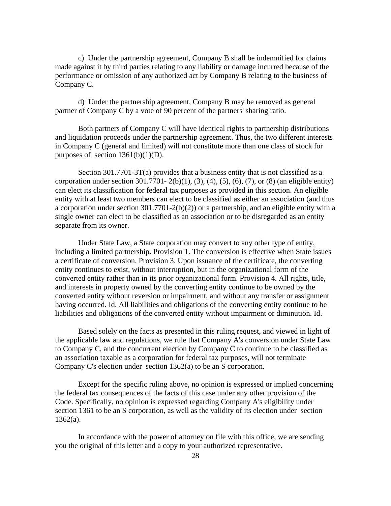c) Under the partnership agreement, Company B shall be indemnified for claims made against it by third parties relating to any liability or damage incurred because of the performance or omission of any authorized act by Company B relating to the business of Company C.

d) Under the partnership agreement, Company B may be removed as general partner of Company C by a vote of 90 percent of the partners' sharing ratio.

Both partners of Company C will have identical rights to partnership distributions and liquidation proceeds under the partnership agreement. Thus, the two different interests in Company C (general and limited) will not constitute more than one class of stock for purposes of section  $1361(b)(1)(D)$ .

Section 301.7701-3T(a) provides that a business entity that is not classified as a corporation under section 301.7701- 2(b)(1), (3), (4), (5), (6), (7), or (8) (an eligible entity) can elect its classification for federal tax purposes as provided in this section. An eligible entity with at least two members can elect to be classified as either an association (and thus a corporation under section 301.7701-2(b)(2)) or a partnership, and an eligible entity with a single owner can elect to be classified as an association or to be disregarded as an entity separate from its owner.

Under State Law, a State corporation may convert to any other type of entity, including a limited partnership. Provision 1. The conversion is effective when State issues a certificate of conversion. Provision 3. Upon issuance of the certificate, the converting entity continues to exist, without interruption, but in the organizational form of the converted entity rather than in its prior organizational form. Provision 4. All rights, title, and interests in property owned by the converting entity continue to be owned by the converted entity without reversion or impairment, and without any transfer or assignment having occurred. Id. All liabilities and obligations of the converting entity continue to be liabilities and obligations of the converted entity without impairment or diminution. Id.

Based solely on the facts as presented in this ruling request, and viewed in light of the applicable law and regulations, we rule that Company A's conversion under State Law to Company C, and the concurrent election by Company C to continue to be classified as an association taxable as a corporation for federal tax purposes, will not terminate Company C's election under section 1362(a) to be an S corporation.

Except for the specific ruling above, no opinion is expressed or implied concerning the federal tax consequences of the facts of this case under any other provision of the Code. Specifically, no opinion is expressed regarding Company A's eligibility under section 1361 to be an S corporation, as well as the validity of its election under section  $1362(a)$ .

In accordance with the power of attorney on file with this office, we are sending you the original of this letter and a copy to your authorized representative.